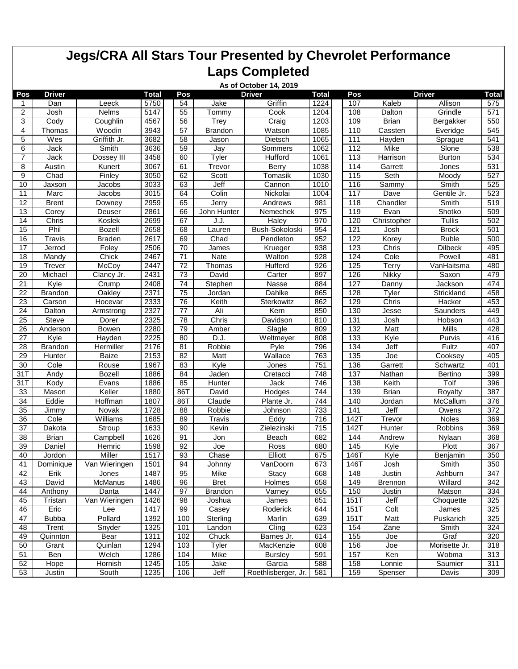|                 |                |                |              |                 |                | As of October 14, 2019 |              |      |                |                |                  |
|-----------------|----------------|----------------|--------------|-----------------|----------------|------------------------|--------------|------|----------------|----------------|------------------|
| Pos             | <b>Driver</b>  |                | <b>Total</b> | Pos             |                | <b>Driver</b>          | <b>Total</b> | Pos  |                | <b>Driver</b>  | <b>Total</b>     |
| ำ               | Dan            | Leeck          | 5750         | 54              | Jake           | Griffin                | 1224         | 107  | Kaleb          | Allison        | 575              |
| $\overline{2}$  | Josh           | Nelms          | 5147         | 55              | Tommy          | Cook                   | 1204         | 108  | Dalton         | Grindle        | 571              |
| 3               | Cody           | Coughlin       | 4567         | 56              | Trey           | Craig                  | 1203         | 109  | <b>Brian</b>   | Bergakker      | 550              |
| 4               | Thomas         | Woodin         | 3943         | 57              | <b>Brandon</b> | Watson                 | 1085         | 110  | Cassten        | Everidge       | 545              |
| 5               | Wes            | Griffith Jr.   | 3682         | 58              | Jason          | Dietsch                | 1065         | 111  | Hayden         | Sprague        | 541              |
| 6               | Jack           | Smith          | 3636         | 59              | Jay            | Sommers                | 1062         | 112  | Mike           | Slone          | 538              |
| 7               | Jack           | Dossey III     | 3458         | 60              | Tyler          | Hufford                | 1061         | 113  | Harrison       | <b>Burton</b>  | 534              |
| 8               | Austin         | Kunert         | 3067         | 61              | Trevor         | Berry                  | 1038         | 114  | Garrett        | Jones          | 531              |
| 9               | Chad           | Finley         | 3050         | 62              | Scott          | Tomasik                | 1030         | 115  | Seth           | Moody          | 527              |
| 10              | Jaxson         | Jacobs         | 3033         | 63              | Jeff           | Cannon                 | 1010         | 116  | Sammy          | Smith          | 525              |
| 11              | Marc           | Jacobs         | 3015         | 64              | Colin          | Nickolai               | 1004         | 117  | Dave           | Gentile Jr.    | 523              |
| 12              | <b>Brent</b>   | Downey         | 2959         | 65              | Jerry          | Andrews                | 981          | 118  | Chandler       | Smith          | 519              |
| 13              | Corey          | Deuser         | 2861         | 66              | John Hunter    | Nemechek               | 975          | 119  | Evan           | Shotko         | 509              |
| 14              | Chris          | Koslek         | 2699         | 67              | J.J.           | Haley                  | 970          | 120  | Christopher    | Tullis         | 502              |
| 15              | Phil           | <b>Bozell</b>  | 2658         | 68              | Lauren         | Bush-Sokoloski         | 954          | 121  | Josh           | <b>Brock</b>   | 501              |
| 16              | Travis         | <b>Braden</b>  | 2617         | 69              | Chad           | Pendleton              | 952          | 122  | Korey          | Ruble          | 500              |
| 17              | Jerrod         | Foley          | 2506         | 70              | James          | Krueger                | 938          | 123  | Chris          | <b>Dilbeck</b> | 495              |
| 18              | Mandy          | Chick          | 2467         | 71              | <b>Nate</b>    | Walton                 | 928          | 124  | Cole           | Powell         | 481              |
| 19              | <b>Trever</b>  | McCoy          | 2447         | $\overline{72}$ | Thomas         | <b>Hufferd</b>         | 926          | 125  | Terry          | VanHaitsma     | 480              |
| 20              | Michael        | Clancy Jr.     | 2431         | 73              | David          | Carter                 | 897          | 126  | Nikky          | Saxon          | 479              |
| 21              | Kyle           | Crump          | 2408         | 74              | Stephen        | Nasse                  | 884          | 127  | Danny          | Jackson        | 474              |
| 22              | <b>Brandon</b> | Oakley         | 2371         | 75              | Jordan         | Dahlke                 | 865          | 128  | Tyler          | Strickland     | 458              |
| 23              | Carson         | Hocevar        | 2333         | 76              | Keith          | Sterkowitz             | 862          | 129  | Chris          | Hacker         | 453              |
| 24              | Dalton         | Armstrong      | 2327         | 77              | Ali            | Kern                   | 850          | 130  | Jesse          | Saunders       | 449              |
| 25              | <b>Steve</b>   | Dorer          | 2325         | 78              | Chris          | Davidson               | 810          | 131  | Josh           | Hobson         | 443              |
| 26              | Anderson       | Bowen          | 2280         | 79              | Amber          | Slagle                 | 809          | 132  | Matt           | Mills          | 428              |
| 27              | Kyle           | Hayden         | 2225         | 80              | D.J.           | Weltmeyer              | 808          | 133  | Kyle           | Purvis         | 416              |
| 28              | <b>Brandon</b> | Hermiller      | 2176         | 81              | Robbie         | Pyle                   | 796          | 134  | Jeff           | <b>Fultz</b>   | 407              |
| 29              | <b>Hunter</b>  | Baize          | 2153         | 82              | Matt           | Wallace                | 763          | 135  | Joe            | Cooksey        | 405              |
| 30              | Cole           | Rouse          | 1967         | 83              | Kyle           | Jones                  | 751          | 136  | Garrett        | Schwartz       | 401              |
| 31T             | Andy           | <b>Bozell</b>  | 1886         | 84              | Jaden          | Cretacci               | 748          | 137  | Nathan         | <b>Bertino</b> | 399              |
| 31T             | Kody           | Evans          | 1886         | 85              | Hunter         | Jack                   | 746          | 138  | Keith          | Tolf           | 396              |
| 33              | Mason          | Keller         | 1880         | 86T             | David          | Hodges                 | 744          | 139  | <b>Brian</b>   | Royalty        | 387              |
| 34              | Eddie          | Hoffman        | 1807         | 86T             | Claude         | Plante Jr.             | 744          | 140  | Jordan         | McCallum       | 376              |
| 35              | Jimmy          | Novak          | 1728         | 88              | Robbie         | Johnson                | 733          | 141  | Jeff           | Owens          | $\overline{372}$ |
| $\overline{36}$ | Cole           | Williams       | 1685         | 89              | Travis         | Eddy                   | 716          | 142T | Trevor         | Noles          | 369              |
| 37              | Dakota         | Stroup         | 1633         | 90              | Kevin          | Zielezinski            | 715          | 142T | Hunter         | <b>Robbins</b> | 369              |
| 38              | <b>Brian</b>   | Campbell       | 1626         | 91              | Jon            | <b>Beach</b>           | 682          | 144  | Andrew         | Nylaan         | 368              |
| 39              | Daniel         | Hemric         | 1598         | 92              | Joe            | Ross                   | 680          | 145  | Kyle           | Plott          | 367              |
| 40              | Jordon         | Miller         | 1517         | 93              | Chase          | Elliott                | 675          | 146T | Kyle           | Benjamin       | 350              |
| 41              | Dominique      | Van Wieringen  | 1501         | 94              | Johnny         | VanDoorn               | 673          | 146T | Josh           | Smith          | 350              |
| 42              | Erik           | Jones          | 1487         | 95              | Mike           | Stacy                  | 668          | 148  | Justin         | Ashburn        | 347              |
| 43              | David          | <b>McManus</b> | 1486         | 96              | <b>Bret</b>    | Holmes                 | 658          | 149  | <b>Brennon</b> | Willard        | 342              |
| 44              | Anthony        | Danta          | 1447         | 97              | <b>Brandon</b> | Varney                 | 655          | 150  | Justin         | Matson         | 334              |
| 45              | Tristan        | Van Wieringen  | 1426         | 98              | Joshua         | James                  | 651          | 151T | Jeff           | Choquette      | 325              |
| 46              | Eric           | Lee            | 1417         | 99              | Casey          | Roderick               | 644          | 151T | Colt           | James          | 325              |
| 47              | <b>Bubba</b>   | Pollard        | 1392         | 100             | Sterling       | Marlin                 | 639          | 151T | Matt           | Puskarich      | 325              |
| 48              | Trent          | Snyder         | 1325         | 101             | Landon         | Cling                  | 623          | 154  | Zane           | Smith          | 324              |
| 49              | Quinnton       | Bear           | 1311         | 102             | Chuck          | Barnes Jr.             | 614          | 155  | Joe            | Graf           | 320              |
| 50              | Grant          | Quinlan        | 1294         | 103             | Tyler          | MacKenzie              | 608          | 156  | Joe            | Morisette Jr.  | 318              |
| 51              | Ben            | Welch          | 1286         | 104             | Mike           | <b>Bursley</b>         | 591          | 157  | Ken            | Wobma          | 313              |
| 52              | Hope           | Hornish        | 1245         | 105             | Jake           | Garcia                 | 588          | 158  | Lonnie         | Saumier        | 311              |
| 53              | Justin         | South          | 1235         | 106             | Jeff           | Roethlisberger, Jr.    | 581          | 159  | Spenser        | Davis          | 309              |
|                 |                |                |              |                 |                |                        |              |      |                |                |                  |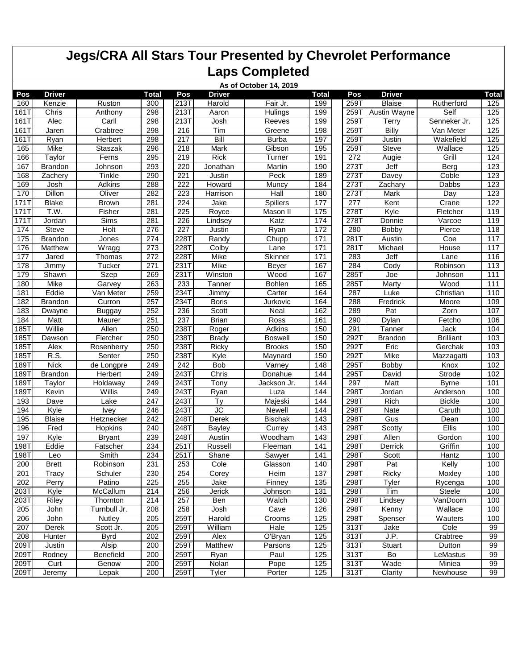|      | As of October 14, 2019 |                |                  |                    |               |                |       |      |                |                              |              |  |  |
|------|------------------------|----------------|------------------|--------------------|---------------|----------------|-------|------|----------------|------------------------------|--------------|--|--|
| Pos  | <b>Driver</b>          |                | Total            | Pos                | Driver        |                | Total | Pos  | <b>Driver</b>  |                              | <b>Total</b> |  |  |
| 160  | Kenzie                 | Ruston         | 300              | $\overline{213}$ T | Harold        | Fair Jr.       | 199   | 259T | <b>Blaise</b>  | Rutherford                   | 125          |  |  |
| 161T | Chris                  | Anthony        | 298              | 213T               | Aaron         | Hulings        | 199   | 259T | Austin Wayne   | Self                         | 125          |  |  |
| 161T | Alec                   | Carll          | 298              | 213T               | Josh          | Reeves         | 199   | 259T | Terrv          | Senneker Jr.                 | 125          |  |  |
| 161T | Jaren                  | Crabtree       | 298              | 216                | Tim           | Greene         | 198   | 259T | Billy          | Van Meter                    | 125          |  |  |
| 161T | Ryan                   | <b>Herbert</b> | 298              | 217                | Bill          | <b>Burba</b>   | 197   | 259T | Justin         | Wakefield                    | 125          |  |  |
| 165  | Mike                   | Staszak        | 296              | 218                | Mark          | Gibson         | 195   | 259T | <b>Steve</b>   | $\overline{\text{W}}$ allace | 125          |  |  |
| 166  | Taylor                 | Ferns          | 295              | 219                | <b>Rick</b>   | Turner         | 191   | 272  | Augie          | Grill                        | 124          |  |  |
| 167  | <b>Brandon</b>         | Johnson        | 293              | 220                | Jonathan      | Martin         | 190   | 273T | Jeff           | Berg                         | 123          |  |  |
| 168  | Zachery                | Tinkle         | 290              | 221                | Justin        | Peck           | 189   | 273T | Davey          | Coble                        | 123          |  |  |
| 169  | Josh                   | Adkins         | 288              | 222                | Howard        | Muncy          | 184   | 273T | Zachary        | Dabbs                        | 123          |  |  |
| 170  | Dillon                 | Oliver         | 282              | 223                | Harrison      | Hall           | 180   | 273T | Mark           | Day                          | 123          |  |  |
| 171T | <b>Blake</b>           | <b>Brown</b>   | 281              | 224                | Jake          | Spillers       | 177   | 277  | Kent           | Crane                        | 122          |  |  |
| 171T | T.W.                   | Fisher         | 281              | 225                | Royce         | Mason II       | 175   | 278T | Kyle           | Fletcher                     | 119          |  |  |
| 171T | Jordan                 | Sims           | 281              | 226                | Lindsev       | Katz           | 174   | 278T | Donnie         | Varcoe                       | 119          |  |  |
| 174  | Steve                  | Holt           | 276              | 227                | Justin        | Ryan           | 172   | 280  | <b>Bobby</b>   | Pierce                       | 118          |  |  |
| 175  | <b>Brandon</b>         | Jones          | 274              | 228T               | Randy         | Chupp          | 171   | 281T | Austin         | Coe                          | 117          |  |  |
| 176  | Matthew                | Wragg          | 273              | 228T               | Colby         | Lane           | 171   | 281T | Michael        | House                        | 117          |  |  |
| 177  | Jared                  | Thomas         | 272              | 228T               | Mike          | Skinner        | 171   | 283  | Jeff           | Lane                         | 116          |  |  |
| 178  | Jimmy                  | Tucker         | 271              | 231T               | Mike          | <b>Beyer</b>   | 167   | 284  | Cody           | Robinson                     | 113          |  |  |
| 179  | Shawn                  | <b>Szep</b>    | 269              | 231T               | Winston       | Wood           | 167   | 285T | Joe            | Johnson                      | 111          |  |  |
| 180  | Mike                   | Garvey         | 263              | 233                | Tanner        | <b>Bohlen</b>  | 165   | 285T | <b>Marty</b>   | Wood                         | 111          |  |  |
| 181  | Eddie                  | Van Meter      | 259              | 234T               | Jimmy         | Carter         | 164   | 287  | Luke           | Christian                    | 110          |  |  |
| 182  | <b>Brandon</b>         | Curron         | 257              | 234T               | <b>Boris</b>  | Jurkovic       | 164   | 288  | Fredrick       | Moore                        | 109          |  |  |
| 183  | Dwayne                 | <b>Buggay</b>  | 252              | 236                | Scott         | Neal           | 162   | 289  | Pat            | Zorn                         | 107          |  |  |
| 184  | Matt                   | Maurer         | 251              | 237                | <b>Brian</b>  | Ross           | 161   | 290  | Dylan          | Fetcho                       | 106          |  |  |
| 185T | Willie                 | Allen          | 250              | 238T               | Roger         | Adkins         | 150   | 291  | Tanner         | Jack                         | 104          |  |  |
| 185T | Dawson                 | Fletcher       | 250              | 238T               | <b>Brady</b>  | <b>Boswell</b> | 150   | 292T | <b>Brandon</b> | <b>Brilliant</b>             | 103          |  |  |
| 185T | Alex                   | Rosenberry     | 250              | 238T               | Ricky         | <b>Brooks</b>  | 150   | 292T | Eric           | Gerchak                      | 103          |  |  |
| 185T | R.S.                   | Senter         | 250              | 238T               | Kyle          | Maynard        | 150   | 292T | Mike           | Mazzagatti                   | 103          |  |  |
| 189T | <b>Nick</b>            | de Longpre     | 249              | 242                | Bob           | Varney         | 148   | 295T | <b>Bobby</b>   | Knox                         | 102          |  |  |
| 189T | <b>Brandon</b>         | Herbert        | 249              | 243T               | Chris         | Donahue        | 144   | 295T | David          | Strode                       | 102          |  |  |
| 189T | Taylor                 | Holdaway       | 249              | 243T               | Tony          | Jackson Jr.    | 144   | 297  | Matt           | <b>Byrne</b>                 | 101          |  |  |
| 189T | Kevin                  | Willis         | 249              | 243T               | Ryan          | Luza           | 144   | 298T | <b>Jordan</b>  | Anderson                     | 100          |  |  |
| 193  | Dave                   | Lake           | 247              | 243T               | Ty            | Majeski        | 144   | 298T | Rich           | <b>Bickle</b>                | 100          |  |  |
| 194  | Kyle                   | <b>Ivey</b>    | 246              | 243T               | JС            | Newell         | 144   | 298T | Nate           | Caruth                       | 100          |  |  |
| 195  | <b>Blaise</b>          | Hetznecker     | 242              | 248T               | Derek         | <b>Bischak</b> | 143   | 298T | Gus            | Dean                         | 100          |  |  |
| 196  | Fred                   | Hopkins        | 240              | 248T               | <b>Bayley</b> | Currey         | 143   | 298T | Scotty         | Ellis                        | 100          |  |  |
| 197  | Kyle                   | <b>Bryant</b>  | 239              | 248T               | Austin        | Woodham        | 143   | 298T | Allen          | Gordon                       | 100          |  |  |
| 198T | Eddie                  | Fatscher       | 234              | 251T               | Russell       | Fleeman        | 141   | 298T | Derrick        | Griffin                      | 100          |  |  |
| 198T | Leo                    | Smith          | 234              | 251T               | Shane         | Sawyer         | 141   | 298T | Scott          | Hantz                        | 100          |  |  |
| 200  | <b>Brett</b>           | Robinson       | 231              | 253                | Cole          | Glasson        | 140   | 298T | Pat            | Kelly                        | 100          |  |  |
| 201  | Tracy                  | Schuler        | 230              | 254                | Corey         | Heim           | 137   | 298T | <b>Ricky</b>   | Moxley                       | 100          |  |  |
| 202  | Perry                  | Patino         | 225              | 255                | Jake          | Finney         | 135   | 298T | Tyler          | Rycenga                      | 100          |  |  |
| 203T | Kyle                   | McCallum       | 214              | 256                | Jerick        | Johnson        | 131   | 298T | Tim            | Steele                       | 100          |  |  |
| 203T | Riley                  | Thornton       | 214              | 257                | Ben           | Walch          | 130   | 298T | Lindsey        | VanDoorn                     | 100          |  |  |
| 205  | John                   | Turnbull Jr.   | 208              | 258                | Josh          | Cave           | 126   | 298T | Kenny          | Wallace                      | 100          |  |  |
| 206  | John                   | Nutley         | 205              | 259T               | Harold        | Crooms         | 125   | 298T | Spenser        | Wauters                      | 100          |  |  |
| 207  | Derek                  | Scott Jr.      | 205              | 259T               | William       | Hale           | 125   | 313T | Jake           | Cole                         | 99           |  |  |
| 208  | Hunter                 | <b>Byrd</b>    | 202              | 259T               | Alex          | O'Bryan        | 125   | 313T | J.P.           | Crabtree                     | 99           |  |  |
| 209T | Justin                 | Alsip          | 200              | 259T               | Matthew       | Parsons        | 125   | 313T | Stuart         | Dutton                       | 99           |  |  |
| 209T | Rodney                 | Benefield      | 200              | 259T               | Ryan          | Paul           | 125   | 313T | Bo             | LeMastus                     | 99           |  |  |
| 209T | Curt                   | Genow          | 200              | 259T               | Nolan         | Pope           | 125   | 313T | Wade           | Miniea                       | 99           |  |  |
| 209T | Jeremy                 | Lepak          | $\overline{200}$ | 259T               | Tyler         | Porter         | 125   | 313T | Clarity        | Newhouse                     | 99           |  |  |
|      |                        |                |                  |                    |               |                |       |      |                |                              |              |  |  |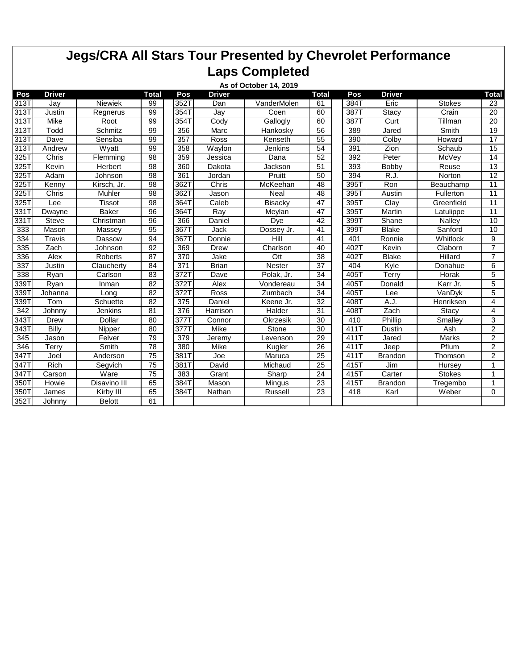| As of October 14, 2019 |               |               |                 |      |               |                 |                 |                   |                |               |                |  |
|------------------------|---------------|---------------|-----------------|------|---------------|-----------------|-----------------|-------------------|----------------|---------------|----------------|--|
| Pos                    | <b>Driver</b> |               | <b>Total</b>    | Pos  | <b>Driver</b> |                 | <b>Total</b>    | Pos               | <b>Driver</b>  |               | Total          |  |
| 313T                   | Jay           | Niewiek       | 99              | 352T | Dan           | VanderMolen     | 61              | 384T              | Eric           | <b>Stokes</b> | 23             |  |
| 313T                   | Justin        | Regnerus      | 99              | 354T | Jay           | Coen            | 60              | 387T              | Stacy          | Crain         | 20             |  |
| 313T                   | Mike          | Root          | 99              | 354T | Cody          | Gallogly        | 60              | 387T              | Curt           | Tillman       | 20             |  |
| 313T                   | Todd          | Schmitz       | 99              | 356  | Marc          | Hankosky        | 56              | 389               | Jared          | Smith         | 19             |  |
| 313T                   | Dave          | Sensiba       | 99              | 357  | Ross          | Kenseth         | 55              | 390               | Colby          | Howard        | 17             |  |
| 313T                   | Andrew        | Wyatt         | 99              | 358  | Waylon        | Jenkins         | 54              | 391               | Zion           | Schaub        | 15             |  |
| 325T                   | Chris         | Flemming      | 98              | 359  | Jessica       | Dana            | 52              | 392               | Peter          | McVey         | 14             |  |
| 325T                   | Kevin         | Herbert       | 98              | 360  | Dakota        | Jackson         | 51              | 393               | <b>Bobby</b>   | Reuse         | 13             |  |
| 325T                   | Adam          | Johnson       | 98              | 361  | Jordan        | Pruitt          | 50              | 394               | R.J.           | Norton        | 12             |  |
| 325T                   | Kenny         | Kirsch, Jr.   | 98              | 362T | Chris         | McKeehan        | 48              | 395T              | Ron            | Beauchamp     | 11             |  |
| 325T                   | Chris         | Muhler        | 98              | 362T | Jason         | Neal            | 48              | 395T              | Austin         | Fullerton     | 11             |  |
| 325T                   | Lee           | <b>Tissot</b> | 98              | 364T | Caleb         | Bisacky         | 47              | 395T              | Clay           | Greenfield    | 11             |  |
| 331T                   | Dwayne        | <b>Baker</b>  | 96              | 364T | Ray           | Meylan          | 47              | 395T              | Martin         | Latulippe     | 11             |  |
| 331T                   | <b>Steve</b>  | Christman     | 96              | 366  | Daniel        | Dve             | 42              | 399T              | Shane          | Nalley        | 10             |  |
| 333                    | Mason         | Massey        | 95              | 367T | Jack          | Dossey Jr.      | 41              | 399T              | <b>Blake</b>   | Sanford       | 10             |  |
| 334                    | Travis        | Dassow        | 94              | 3671 | Donnie        | Hill            | 41              | 401               | Ronnie         | Whitlock      | 9              |  |
| 335                    | Zach          | Johnson       | 92              | 369  | <b>Drew</b>   | Charlson        | 40              | 402T              | Kevin          | Claborn       | $\overline{7}$ |  |
| 336                    | Alex          | Roberts       | 87              | 370  | Jake          | Ott             | 38              | 402T              | <b>Blake</b>   | Hillard       | $\overline{7}$ |  |
| 337                    | Justin        | Claucherty    | 84              | 371  | <b>Brian</b>  | <b>Nester</b>   | 37              | 404               | Kyle           | Donahue       | 6              |  |
| 338                    | Rvan          | Carlson       | 83              | 372T | Dave          | Polak, Jr.      | 34              | 405T              | Terrv          | Horak         | 5              |  |
| 339T                   | Ryan          | Inman         | 82              | 372T | Alex          | Vondereau       | 34              | 405T              | Donald         | Karr Jr.      | $\overline{5}$ |  |
| 339T                   | Johanna       | Long          | 82              | 372T | Ross          | Zumbach         | $\overline{34}$ | 405T              | Lee            | VanDyk        | $\overline{5}$ |  |
| 339T                   | Tom           | Schuette      | 82              | 375  | Daniel        | Keene Jr.       | 32              | 408T              | A.J.           | Henriksen     | $\overline{4}$ |  |
| 342                    | Johnny        | Jenkins       | 81              | 376  | Harrison      | Halder          | 31              | 408T              | Zach           | Stacy         | 4              |  |
| 343T                   | Drew          | Dollar        | 80              | 377T | Connor        | <b>Okrzesik</b> | 30              | 410               | Phillip        | Smalley       | 3              |  |
| 343T                   | Billy         | Nipper        | 80              | 377T | Mike          | Stone           | 30              | 411T              | Dustin         | Ash           | $\overline{2}$ |  |
| 345                    | Jason         | Felver        | 79              | 379  | Jeremy        | Levenson        | 29              | 411T              | Jared          | Marks         | $\overline{2}$ |  |
| 346                    | Terry         | Smith         | 78              | 380  | Mike          | Kugler          | $\overline{26}$ | 411T              | Jeep           | Pflum         | $\overline{2}$ |  |
| 3471                   | Joel          | Anderson      | 75              | 381T | Joe           | Maruca          | 25              | $411\overline{T}$ | <b>Brandon</b> | Thomson       | $\overline{2}$ |  |
| 347T                   | <b>Rich</b>   | Segvich       | 75              | 381T | David         | Michaud         | 25              | 415T              | Jim            | Hursey        | 1              |  |
| 347T                   | Carson        | Ware          | $\overline{75}$ | 383  | Grant         | Sharp           | 24              | 415T              | Carter         | <b>Stokes</b> | 1              |  |
| 350T                   | Howie         | Disavino III  | 65              | 384T | Mason         | Mingus          | 23              | 415T              | <b>Brandon</b> | Tregembo      | 1              |  |
| 350T                   | <b>James</b>  | Kirby III     | 65              | 384T | Nathan        | Russell         | 23              | 418               | Karl           | Weber         | $\Omega$       |  |
| 352T                   | Johnny        | <b>Belott</b> | 61              |      |               |                 |                 |                   |                |               |                |  |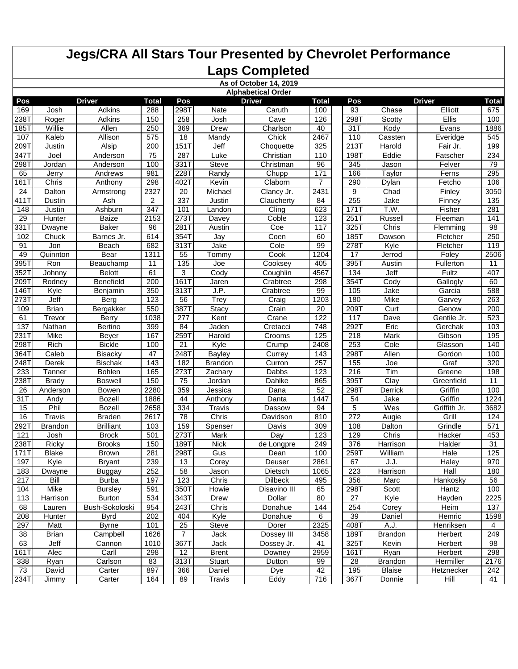|                  |                           |                  |                |                |                | As of October 14, 2019 |              |      |                |               |                |  |  |  |
|------------------|---------------------------|------------------|----------------|----------------|----------------|------------------------|--------------|------|----------------|---------------|----------------|--|--|--|
|                  | <b>Alphabetical Order</b> |                  |                |                |                |                        |              |      |                |               |                |  |  |  |
| Pos              |                           | <b>Driver</b>    | <b>Total</b>   | Pos            |                | <b>Driver</b>          | <b>Total</b> | Pos  |                | <b>Driver</b> | <b>Total</b>   |  |  |  |
| 169              | Josh                      | <b>Adkins</b>    | 288            | 298T           | Nate           | Caruth                 | 100          | 93   | Chase          | Elliott       | 675            |  |  |  |
| 238T             | Roger                     | Adkins           | 150            | 258            | Josh           | Cave                   | 126          | 298T | Scotty         | Ellis         | 100            |  |  |  |
| $185$ T          | Willie                    | Allen            | 250            | 369            | <b>Drew</b>    | Charlson               | 40           | 31T  | Kody           | Evans         | 1886           |  |  |  |
| 107              | Kaleb                     | Allison          | 575            | 18             | Mandv          | Chick                  | 2467         | 110  | Cassten        | Everidge      | 545            |  |  |  |
| 209T             | Justin                    | Alsip            | 200            | 151T           | Jeff           | Choquette              | 325          | 213T | Harold         | Fair Jr.      | 199            |  |  |  |
| 347T             | Joel                      | Anderson         | 75             | 287            | Luke           | Christian              | 110          | 198T | Eddie          | Fatscher      | 234            |  |  |  |
| 298T             | Jordan                    | Anderson         | 100            | 331T           | <b>Steve</b>   | Christman              | 96           | 345  | Jason          | Felver        | 79             |  |  |  |
| 65               | Jerry                     | Andrews          | 981            | 228T           | Randy          | Chupp                  | 171          | 166  | Taylor         | Ferns         | 295            |  |  |  |
| 161T             | Chris                     | Anthony          | 298            | 402T           | Kevin          | Claborn                | 7            | 290  | Dylan          | Fetcho        | 106            |  |  |  |
| 24               | Dalton                    | Armstrong        | 2327           | 20             | Michael        | Clancy Jr.             | 2431         | 9    | Chad           | Finley        | 3050           |  |  |  |
| $\overline{411}$ | Dustin                    | Ash              | $\overline{2}$ | 337            | Justin         | Claucherty             | 84           | 255  | Jake           | Finney        | 135            |  |  |  |
| 148              | Justin                    | Ashburn          | 347            | 101            | Landon         | Cling                  | 623          | 171T | T.W.           | Fisher        | 281            |  |  |  |
| $\overline{29}$  | Hunter                    | <b>Baize</b>     | 2153           | 273T           | Davey          | Coble                  | 123          | 251T | Russell        | Fleeman       | 141            |  |  |  |
| 331T             | <b>Dwayne</b>             | <b>Baker</b>     | 96             | 281T           | Austin         | Coe                    | 117          | 325T | Chris          | Flemming      | 98             |  |  |  |
| 102              | Chuck                     | Barnes Jr.       | 614            | 354T           | Jay            | Coen                   | 60           | 185T | Dawson         | Fletcher      | 250            |  |  |  |
| 91               | Jon                       | Beach            | 682            | 313T           | Jake           | Cole                   | 99           | 278T | Kyle           | Fletcher      | 119            |  |  |  |
| 49               | Quinnton                  | Bear             | 1311           | 55             | Tommy          | Cook                   | 1204         | 17   | Jerrod         | Foley         | 2506           |  |  |  |
| 395T             | Ron                       | Beauchamp        | 11             | 135            | Joe            | Cooksey                | 405          | 395T | Austin         | Fullerton     | 11             |  |  |  |
| 352T             | Johnny                    | <b>Belott</b>    | 61             | 3              | Cody           | Coughlin               | 4567         | 134  | Jeff           | Fultz         | 407            |  |  |  |
| 209T             | Rodney                    | Benefield        | 200            | 161T           | Jaren          | Crabtree               | 298          | 354T | Cody           | Gallogly      | 60             |  |  |  |
| 146T             | Kyle                      | Benjamin         | 350            | 313T           | J.P.           | Crabtree               | 99           | 105  | Jake           | Garcia        | 588            |  |  |  |
| 273T             | Jeff                      | Berg             | 123            | 56             | Trey           | Craig                  | 1203         | 180  | Mike           | Garvey        | 263            |  |  |  |
| 109              | <b>Brian</b>              | Bergakker        | 550            | 387T           | <b>Stacy</b>   | Crain                  | 20           | 209T | Curt           | Genow         | 200            |  |  |  |
| 61               | Trevor                    | Berry            | 1038           | 277            | Kent           | Crane                  | 122          | 117  | Dave           | Gentile Jr.   | 523            |  |  |  |
| 137              | Nathan                    | Bertino          | 399            | 84             | Jaden          | Cretacci               | 748          | 292T | Eric           | Gerchak       | $\frac{10}{3}$ |  |  |  |
| 231T             | Mike                      | Beyer            | 167            | 2591           | Harold         | Crooms                 | 125          | 218  | Mark           | Gibson        | 195            |  |  |  |
| 298T             | Rich                      | <b>Bickle</b>    | 100            | 21             | Kyle           | $\overline{C}$ rump    | 2408         | 253  | Cole           | Glasson       | 140            |  |  |  |
| 364T             | Caleb                     | <b>Bisacky</b>   | 47             | 248T           | <b>Bayley</b>  | Currey                 | 143          | 298T | Allen          | Gordon        | 100            |  |  |  |
| 248T             | Derek                     | <b>Bischak</b>   | 143            | 182            | <b>Brandon</b> | Curron                 | 257          | 155  | Joe            | Graf          | 320            |  |  |  |
| 233              | Tanner                    | <b>Bohlen</b>    | 165            | 273T           | Zachary        | Dabbs                  | 123          | 216  | Tim            | Greene        | 198            |  |  |  |
| 238T             | <b>Brady</b>              | <b>Boswell</b>   | 150            | 75             | Jordan         | Dahlke                 | 865          | 395T | Clay           | Greenfield    | 11             |  |  |  |
| 26               | Anderson                  | Bowen            | 2280           | 359            | Jessica        | Dana                   | 52           | 298T | Derrick        | Griffin       | 100            |  |  |  |
| 31T              | Andy                      | <b>Bozell</b>    | 1886           | 44             | Anthony        | Danta                  | 1447         | 54   | Jake           | Griffin       | 1224           |  |  |  |
| 15               | Phil                      | Bozell           | 2658           | 334            | <b>Travis</b>  | Dassow                 | 94           | 5    | Wes            | Griffith Jr.  | 3682           |  |  |  |
| 16               | Travis                    | <b>Braden</b>    | 2617           | 78             | Chris          | Davidson               | 810          | 272  | Augie          | Grill         | 124            |  |  |  |
| 292T             | <b>Brandon</b>            | <b>Brilliant</b> | 103            | 159            | Spenser        | Davis                  | 309          | 108  | Dalton         | Grindle       | 571            |  |  |  |
| 121              | Josh                      | <b>Brock</b>     | 501            | 273T           | <b>Mark</b>    | Day                    | 123          | 129  | Chris          | Hacker        | 453            |  |  |  |
| 238T             | Ricky                     | <b>Brooks</b>    | 150            | 189T           | <b>Nick</b>    | de Longpre             | 249          | 376  | Harrison       | Halder        | 31             |  |  |  |
| 171T             | <b>Blake</b>              | <b>Brown</b>     | 281            | 298T           | Gus            | Dean                   | 100          | 259T | William        | Hale          | 125            |  |  |  |
| 197              | Kyle                      | <b>Bryant</b>    | 239            | 13             | Corey          | Deuser                 | 2861         | 67   | J.J.           | Haley         | 970            |  |  |  |
| 183              | Dwayne                    | <b>Buggay</b>    | 252            | 58             | Jason          | Dietsch                | 1065         | 223  | Harrison       | Hall          | 180            |  |  |  |
| 217              | Bill                      | <b>Burba</b>     | 197            | 123            | Chris          | <b>Dilbeck</b>         | 495          | 356  | Marc           | Hankosky      | 56             |  |  |  |
| 104              | Mike                      | <b>Bursley</b>   | 591            | 350T           | Howie          | Disavino III           | 65           | 298T | Scott          | Hantz         | 100            |  |  |  |
| 113              | Harrison                  | <b>Burton</b>    | 534            | 343T           | Drew           | Dollar                 | 80           | 27   | Kyle           | Hayden        | 2225           |  |  |  |
| 68               | Lauren                    | Bush-Sokoloski   | 954            | 243T           | Chris          | Donahue                | 144          | 254  | Corey          | Heim          | 137            |  |  |  |
| 208              | Hunter                    | <b>Byrd</b>      | 202            | 404            | Kyle           | Donahue                | 6            | 39   | Daniel         | Hemric        | 1598           |  |  |  |
| 297              | Matt                      | <b>Byrne</b>     | 101            | 25             | <b>Steve</b>   | Dorer                  | 2325         | 408T | A.J.           | Henriksen     | 4              |  |  |  |
| 38               | <b>Brian</b>              | Campbell         | 1626           | $\overline{7}$ | Jack           | Dossey III             | 3458         | 189T | <b>Brandon</b> | Herbert       | 249            |  |  |  |
| 63               | Jeff                      | Cannon           | 1010           | 367T           | Jack           | Dossey Jr.             | 41           | 325T | Kevin          | Herbert       | 98             |  |  |  |
| 161T             | Alec                      | Carll            | 298            | 12             | <b>Brent</b>   | Downey                 | 2959         | 161T | Ryan           | Herbert       | 298            |  |  |  |
| 338              | Ryan                      | Carlson          | 83             | 313T           | Stuart         | Dutton                 | 99           | 28   | <b>Brandon</b> | Hermiller     | 2176           |  |  |  |
| 73               | David                     | Carter           | 897            | 366            | Daniel         | Dye                    | 42           | 195  | <b>Blaise</b>  | Hetznecker    | 242            |  |  |  |
| 234T             | Jimmy                     | Carter           | 164            | 89             | Travis         | Eddy                   | 716          | 367T | Donnie         | Hill          | 41             |  |  |  |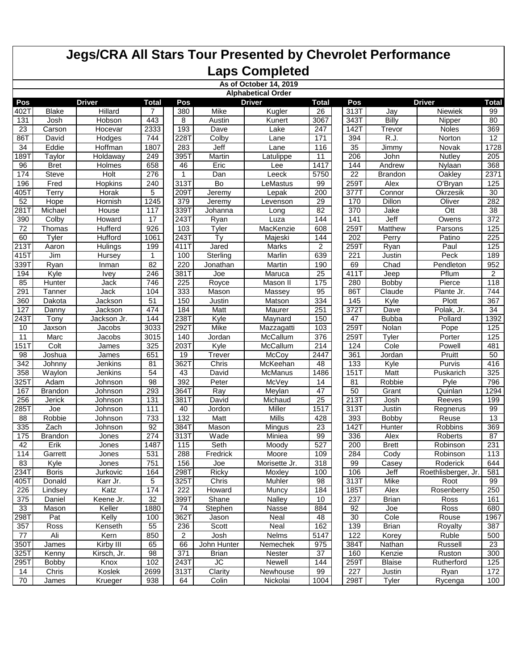|                 | As of October 14, 2019    |                |                 |              |                 |                |                 |      |                   |                     |                  |  |  |  |
|-----------------|---------------------------|----------------|-----------------|--------------|-----------------|----------------|-----------------|------|-------------------|---------------------|------------------|--|--|--|
|                 | <b>Alphabetical Order</b> |                |                 |              |                 |                |                 |      |                   |                     |                  |  |  |  |
| Pos             |                           | <b>Driver</b>  | <b>Total</b>    | Pos          |                 | <b>Driver</b>  | <b>Total</b>    | Pos  |                   | <b>Driver</b>       | Total            |  |  |  |
| 402T            | <b>Blake</b>              | <b>Hillard</b> | 7               | 380          | Mike            | Kugler         | 26              | 313T | Jay               | Niewiek             | 99               |  |  |  |
| 131             | Josh                      | Hobson         | 443             | 8            | Austin          | Kunert         | 3067            | 343T | <b>Billy</b>      | Nipper              | 80               |  |  |  |
| $\overline{23}$ | Carson                    | Hocevar        | 2333            | 193          | Dave            | Lake           | 247             | 142T | Trevor            | <b>Noles</b>        | 369              |  |  |  |
| 86T             | David                     | Hodges         | 744             | 228T         | Colby           | Lane           | 171             | 394  | $\overline{R.J.}$ | Norton              | 12               |  |  |  |
| 34              | Eddie                     | Hoffman        | 1807            | 283          | Jeff            | Lane           | 116             | 35   | Jimmy             | Novak               | 1728             |  |  |  |
| 1897            | Taylor                    | Holdaway       | 249             | 395T         | Martin          | Latulippe      | 11              | 206  | John              | Nutley              | 205              |  |  |  |
| 96              | <b>Bret</b>               | Holmes         | 658             | 46           | Eric            | Lee            | 1417            | 144  | Andrew            | Nylaan              | 368              |  |  |  |
| 174             | <b>Steve</b>              | Holt           | 276             | $\mathbf{1}$ | Dan             | Leeck          | 5750            | 22   | <b>Brandon</b>    | Oakley              | 2371             |  |  |  |
| 196             | Fred                      | <b>Hopkins</b> | 240             | 313T         | Bo              | LeMastus       | 99              | 259T | Alex              | O'Bryan             | 125              |  |  |  |
| 405T            | Terry                     | Horak          | 5               | 209T         | Jeremy          | Lepak          | 200             | 377T | Connor            | Okrzesik            | 30               |  |  |  |
| 52              | Hope                      | Hornish        | 1245            | 379          | Jeremy          | Levenson       | 29              | 170  | <b>Dillon</b>     | Oliver              | 282              |  |  |  |
| 281T            | Michael                   | House          | 117             | 339T         | Johanna         | Long           | 82              | 370  | Jake              | Ott                 | 38               |  |  |  |
| 390             | Colby                     | Howard         | 17              | 243T         | Ryan            | Luza           | 144             | 141  | Jeff              | Owens               | 372              |  |  |  |
| $\overline{72}$ | Thomas                    | Hufferd        | 926             | 103          | Tyler           | MacKenzie      | 608             | 259T | Matthew           | Parsons             | 125              |  |  |  |
| 60              | Tyler                     | Hufford        | 1061            | 243T         | Ty              | Majeski        | 144             | 202  | Perry             | Patino              | 225              |  |  |  |
| 213T            | Aaron                     | Hulings        | 199             | 411T         | Jared           | Marks          | $\overline{2}$  | 259T | Ryan              | Paul                | $\frac{125}{25}$ |  |  |  |
| 415T            | Jim                       | <b>Hursey</b>  | $\mathbf{1}$    | 100          | Sterling        | Marlin         | 639             | 221  | Justin            | Peck                | 189              |  |  |  |
| 339T            | Ryan                      | Inman          | 82              | 220          | Jonathan        | Martin         | 190             | 69   | Chad              | Pendleton           | 952              |  |  |  |
| 194             | Kyle                      | <b>Ivey</b>    | 246             | 381T         | Joe             | Maruca         | 25              | 411T | Jeep              | Pflum               | $\overline{2}$   |  |  |  |
| 85              | Hunter                    | Jack           | 746             | 225          | Royce           | Mason II       | 175             | 280  | Bobby             | Pierce              | 118              |  |  |  |
| 291             | Tanner                    | Jack           | 104             | 333          | Mason           | Massey         | 95              | 86T  | Claude            | Plante Jr.          | 744              |  |  |  |
| 360             | Dakota                    | Jackson        | $\overline{51}$ | 150          | Justin          | Matson         | 334             | 145  | Kyle              | Plott               | 367              |  |  |  |
| 127             | Danny                     | Jackson        | 474             | 184          | Matt            | Maurer         | 251             | 372T | Dave              | Polak, Jr.          | 34               |  |  |  |
| 2431            | Tony                      | Jackson Jr.    | 144             | 238T         | Kyle            | Maynard        | 150             | 47   | <b>Bubba</b>      | Pollard             | 1392             |  |  |  |
| 10              | Jaxson                    | Jacobs         | 3033            | 292T         | Mike            | Mazzagatti     | 103             | 259T | Nolan             | Pope                | 125              |  |  |  |
| 11              | Marc                      | Jacobs         | 3015            | 140          | Jordan          | McCallum       | 376             | 259T | Tyler             | Porter              | 125              |  |  |  |
| 151             | Colt                      | <b>James</b>   | 325             | 203T         | Kyle            | McCallum       | 214             | 124  | Cole              | Powell              | 481              |  |  |  |
| 98              | Joshua                    | James          | 651             | 19           | Trever          | McCoy          | 2447            | 361  | Jordan            | Pruitt              | 50               |  |  |  |
| 342             | Johnny                    | Jenkins        | 81              | 362T         | Chris           | McKeehan       | 48              | 133  | Kyle              | Purvis              | 416              |  |  |  |
| 358             | Waylon                    | Jenkins        | 54              | 43           | David           | <b>McManus</b> | 1486            | 151T | Matt              | Puskarich           | 325              |  |  |  |
| 325T            | Adam                      | Johnson        | 98              | 392          | Peter           | McVey          | 14              | 81   | Robbie            | Pyle                | 796              |  |  |  |
| 167             | <b>Brandon</b>            | Johnson        | 293             | 364T         | Ray             | Meylan         | 47              | 50   | Grant             | Quinlan             | 1294             |  |  |  |
| 256             | <b>Jerick</b>             | Johnson        | 131             | 381T         | David           | Michaud        | $\overline{25}$ | 213T | Josh              | Reeves              | 199              |  |  |  |
| $285$ T         | Joe                       | Johnson        | 111             | 40           | Jordon          | Miller         | 1517            | 313T | Justin            | Regnerus            | 99               |  |  |  |
| 88              | Robbie                    | Johnson        | 733             | 132          | Matt            | <b>Mills</b>   | 428             | 393  | Bobby             | Reuse               | 13               |  |  |  |
| 335             | Zach                      | Johnson        | 92              | 384T         | Mason           | Mingus         | 23              | 142T | <b>Hunter</b>     | <b>Robbins</b>      | 369              |  |  |  |
| 175             | <b>Brandon</b>            | Jones          | 274             | 313T         | Wade            | Miniea         | 99              | 336  | Alex              | Roberts             | 87               |  |  |  |
| 42              | Erik                      | Jones          | 1487            | 115          | Seth            | Moody          | 527             | 200  | <b>Brett</b>      | Robinson            | 231              |  |  |  |
| 114             | Garrett                   | Jones          | 531             | 288          | Fredrick        | Moore          | 109             | 284  | Cody              | Robinson            | 113              |  |  |  |
| 83              | Kyle                      | Jones          | 751             | 156          | Joe             | Morisette Jr.  | 318             | 99   | Casey             | Roderick            | 644              |  |  |  |
| 234T            | <b>Boris</b>              | Jurkovic       | 164             | 298T         | Ricky           | Moxley         | 100             | 106  | Jeff              | Roethlisberger, Jr. | 581              |  |  |  |
| 405T            | Donald                    | Karr Jr.       | 5               | 325T         | Chris           | Muhler         | 98              | 313T | Mike              | Root                | 99               |  |  |  |
| 226             | Lindsey                   | Katz           | 174             | 222          | Howard          | Muncy          | 184             | 185T | Alex              | Rosenberry          | 250              |  |  |  |
| 375             | <b>Daniel</b>             | Keene Jr.      | 32              | 399T         | Shane           | Nalley         | 10              | 237  | <b>Brian</b>      | Ross                | 161              |  |  |  |
| 33              | Mason                     | Keller         | 1880            | 74           | Stephen         | Nasse          | 884             | 92   | Joe               | Ross                | 680              |  |  |  |
| 298T            | Pat                       | Kelly          | 100             | 362T         | Jason           | Neal           | 48              | 30   | Cole              | Rouse               | 1967             |  |  |  |
| 357             | Ross                      | Kenseth        | 55              | 236          | Scott           | Neal           | 162             | 139  | <b>Brian</b>      | Royalty             | 387              |  |  |  |
| 77              | Ali                       | Kern           | 850             | 2            | Josh            | <b>Nelms</b>   | 5147            | 122  | Korey             | Ruble               | 500              |  |  |  |
| 350T            | James                     | Kirby III      | 65              | 66           | John Hunter     | Nemechek       | 975             | 384T | Nathan            | Russell             | 23               |  |  |  |
| 325T            | Kenny                     | Kirsch, Jr.    | 98              | 371          | <b>Brian</b>    | Nester         | 37              | 160  | Kenzie            | Ruston              | 300              |  |  |  |
| 295T            | <b>Bobby</b>              | Knox           | 102             | 243T         | $\overline{J}C$ | Newell         | 144             | 259T | <b>Blaise</b>     | Rutherford          | 125              |  |  |  |
| 14              | Chris                     | Koslek         | 2699            | 313T         | Clarity         | Newhouse       | 99              | 227  | Justin            | Ryan                | 172              |  |  |  |
| 70              | James                     | Krueger        | 938             | 64           | Colin           | Nickolai       | 1004            | 298T | Tyler             | Rycenga             | 100              |  |  |  |